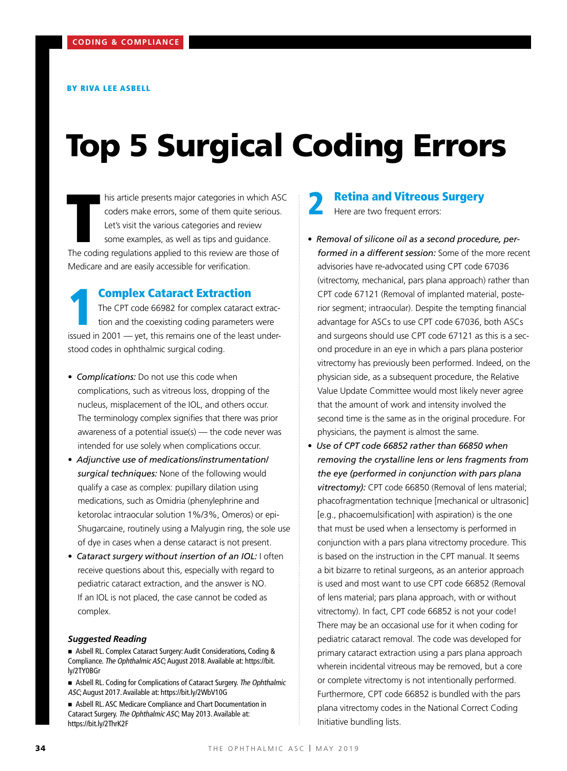# Top 5 Surgical Coding Errors

his article presents major categories in which AS<br>coders make errors, some of them quite serious<br>Let's visit the various categories and review<br>some examples, as well as tips and guidance.<br>The coding regulations applied to his article presents major categories in which ASC coders make errors, some of them quite serious. Let's visit the various categories and review some examples, as well as tips and guidance. Medicare and are easily accessible for verification.

**Complex Cataract Extraction** The CPT code 66982 for complex cataract extraction and the coexisting coding parameters were issued in 2001 — yet, this remains one of the least understood codes in ophthalmic surgical coding.

- *Complications:* Do not use this code when complications, such as vitreous loss, dropping of the nucleus, misplacement of the IOL, and others occur. The terminology complex signifies that there was prior awareness of a potential issue(s) — the code never was intended for use solely when complications occur.
- *Adjunctive use of medications/instrumentation/ surgical techniques:* None of the following would qualify a case as complex: pupillary dilation using medications, such as Omidria (phenylephrine and ketorolac intraocular solution 1%/3%, Omeros) or epi-Shugarcaine, routinely using a Malyugin ring, the sole use of dye in cases when a dense cataract is not present.
- *Cataract surgery without insertion of an IOL:* I often receive questions about this, especially with regard to pediatric cataract extraction, and the answer is NO. If an IOL is not placed, the case cannot be coded as complex.

### *Suggested Reading*

- n Asbell RL. Complex Cataract Surgery: Audit Considerations, Coding & Compliance. The Ophthalmic ASC; August 2018. Available at: https://bit. ly/2TY0BGr
- Asbell RL. Coding for Complications of Cataract Surgery. The Ophthalmic ASC; August 2017. Available at: https://bit.ly/2WbV10G
- Asbell RL. ASC Medicare Compliance and Chart Documentation in Cataract Surgery. The Ophthalmic ASC; May 2013. Available at: https://bit.ly/2ThrK2F

# **Retina and Vitreous Surgery**

Here are two frequent errors:

- *Removal of silicone oil as a second procedure, performed in a different session:* Some of the more recent advisories have re-advocated using CPT code 67036 (vitrectomy, mechanical, pars plana approach) rather than CPT code 67121 (Removal of implanted material, posterior segment; intraocular). Despite the tempting financial advantage for ASCs to use CPT code 67036, both ASCs and surgeons should use CPT code 67121 as this is a second procedure in an eye in which a pars plana posterior vitrectomy has previously been performed. Indeed, on the physician side, as a subsequent procedure, the Relative Value Update Committee would most likely never agree that the amount of work and intensity involved the second time is the same as in the original procedure. For physicians, the payment is almost the same.
- *Use of CPT code 66852 rather than 66850 when removing the crystalline lens or lens fragments from the eye (performed in conjunction with pars plana vitrectomy):* CPT code 66850 (Removal of lens material; phacofragmentation technique [mechanical or ultrasonic] [e.g., phacoemulsification] with aspiration) is the one that must be used when a lensectomy is performed in conjunction with a pars plana vitrectomy procedure. This is based on the instruction in the CPT manual. It seems a bit bizarre to retinal surgeons, as an anterior approach is used and most want to use CPT code 66852 (Removal of lens material; pars plana approach, with or without vitrectomy). In fact, CPT code 66852 is not your code! There may be an occasional use for it when coding for pediatric cataract removal. The code was developed for primary cataract extraction using a pars plana approach wherein incidental vitreous may be removed, but a core or complete vitrectomy is not intentionally performed. Furthermore, CPT code 66852 is bundled with the pars plana vitrectomy codes in the National Correct Coding Initiative bundling lists.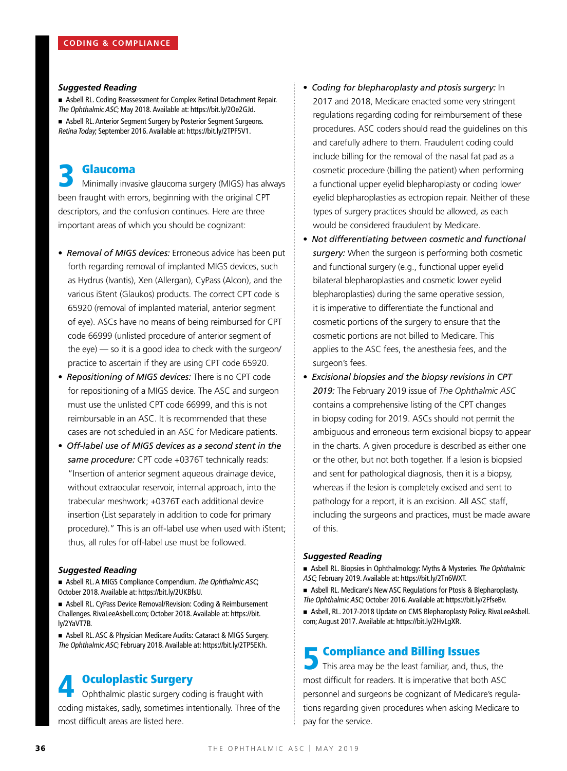# *Suggested Reading*

n Asbell RL. Coding Reassessment for Complex Retinal Detachment Repair. The Ophthalmic ASC; May 2018. Available at: https://bit.ly/2Oe2GJd. **Example 2** Asbell RL. Anterior Segment Surgery by Posterior Segment Surgeons. Retina Today; September 2016. Available at: https://bit.ly/2TPF5V1.

**3 Glaucoma**<br>
Minimally invasive glaucoma surgery (MIGS) has always been fraught with errors, beginning with the original CPT descriptors, and the confusion continues. Here are three important areas of which you should be cognizant:

- *Removal of MIGS devices:* Erroneous advice has been put forth regarding removal of implanted MIGS devices, such as Hydrus (Ivantis), Xen (Allergan), CyPass (Alcon), and the various iStent (Glaukos) products. The correct CPT code is 65920 (removal of implanted material, anterior segment of eye). ASCs have no means of being reimbursed for CPT code 66999 (unlisted procedure of anterior segment of the eye) — so it is a good idea to check with the surgeon/ practice to ascertain if they are using CPT code 65920.
- *Repositioning of MIGS devices:* There is no CPT code for repositioning of a MIGS device. The ASC and surgeon must use the unlisted CPT code 66999, and this is not reimbursable in an ASC. It is recommended that these cases are not scheduled in an ASC for Medicare patients.
- *Off-label use of MIGS devices as a second stent in the same procedure:* CPT code +0376T technically reads: "Insertion of anterior segment aqueous drainage device, without extraocular reservoir, internal approach, into the trabecular meshwork; +0376T each additional device insertion (List separately in addition to code for primary procedure)." This is an off-label use when used with iStent; thus, all rules for off-label use must be followed.

# *Suggested Reading*

**n** Asbell RL. A MIGS Compliance Compendium. The Ophthalmic ASC; October 2018. Available at: https://bit.ly/2UKBfsU.

n Asbell RL. CyPass Device Removal/Revision: Coding & Reimbursement Challenges. RivaLeeAsbell.com; October 2018. Available at: https://bit. ly/2YaVT7B.

■ Asbell RL. ASC & Physician Medicare Audits: Cataract & MIGS Surgery. The Ophthalmic ASC; February 2018. Available at: https://bit.ly/2TP5EKh.

# **Oculoplastic Surgery**

Ophthalmic plastic surgery coding is fraught with coding mistakes, sadly, sometimes intentionally. Three of the most difficult areas are listed here.

- *Coding for blepharoplasty and ptosis surgery:* In 2017 and 2018, Medicare enacted some very stringent regulations regarding coding for reimbursement of these procedures. ASC coders should read the guidelines on this and carefully adhere to them. Fraudulent coding could include billing for the removal of the nasal fat pad as a cosmetic procedure (billing the patient) when performing a functional upper eyelid blepharoplasty or coding lower eyelid blepharoplasties as ectropion repair. Neither of these types of surgery practices should be allowed, as each would be considered fraudulent by Medicare.
- *Not differentiating between cosmetic and functional surgery:* When the surgeon is performing both cosmetic and functional surgery (e.g., functional upper eyelid bilateral blepharoplasties and cosmetic lower eyelid blepharoplasties) during the same operative session, it is imperative to differentiate the functional and cosmetic portions of the surgery to ensure that the cosmetic portions are not billed to Medicare. This applies to the ASC fees, the anesthesia fees, and the surgeon's fees.
- *Excisional biopsies and the biopsy revisions in CPT 2019:* The February 2019 issue of *The Ophthalmic ASC* contains a comprehensive listing of the CPT changes in biopsy coding for 2019. ASCs should not permit the ambiguous and erroneous term excisional biopsy to appear in the charts. A given procedure is described as either one or the other, but not both together. If a lesion is biopsied and sent for pathological diagnosis, then it is a biopsy, whereas if the lesion is completely excised and sent to pathology for a report, it is an excision. All ASC staff, including the surgeons and practices, must be made aware of this.

### *Suggested Reading*

**Example 2** Asbell RL. Biopsies in Ophthalmology: Myths & Mysteries. The Ophthalmic ASC; February 2019. Available at: https://bit.ly/2Tn6WXT.

n Asbell RL. Medicare's New ASC Regulations for Ptosis & Blepharoplasty. The Ophthalmic ASC; October 2016. Available at: https://bit.ly/2FfseBv. ■ Asbell, RL. 2017-2018 Update on CMS Blepharoplasty Policy. RivaLeeAsbell. com; August 2017. Available at: https://bit.ly/2HvLgXR.

# **E** Compliance and Billing Issues

This area may be the least familiar, and, thus, the most difficult for readers. It is imperative that both ASC personnel and surgeons be cognizant of Medicare's regulations regarding given procedures when asking Medicare to pay for the service.